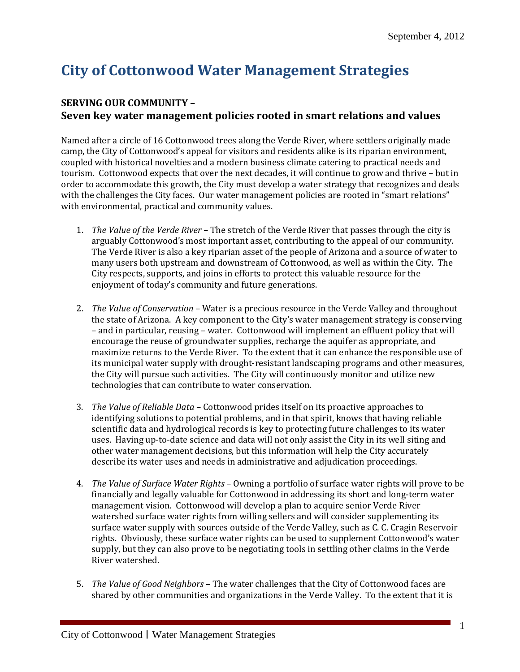## **City of Cottonwood Water Management Strategies**

## **SERVING OUR COMMUNITY – Seven key water management policies rooted in smart relations and values**

Named after a circle of 16 Cottonwood trees along the Verde River, where settlers originally made camp, the City of Cottonwood's appeal for visitors and residents alike is its riparian environment, coupled with historical novelties and a modern business climate catering to practical needs and tourism. Cottonwood expects that over the next decades, it will continue to grow and thrive – but in order to accommodate this growth, the City must develop a water strategy that recognizes and deals with the challenges the City faces. Our water management policies are rooted in "smart relations" with environmental, practical and community values.

- 1. *The Value of the Verde River* The stretch of the Verde River that passes through the city is arguably Cottonwood's most important asset, contributing to the appeal of our community. The Verde River is also a key riparian asset of the people of Arizona and a source of water to many users both upstream and downstream of Cottonwood, as well as within the City. The City respects, supports, and joins in efforts to protect this valuable resource for the enjoyment of today's community and future generations.
- 2. *The Value of Conservation*  Water is a precious resource in the Verde Valley and throughout the state of Arizona. A key component to the City's water management strategy is conserving – and in particular, reusing – water. Cottonwood will implement an effluent policy that will encourage the reuse of groundwater supplies, recharge the aquifer as appropriate, and maximize returns to the Verde River. To the extent that it can enhance the responsible use of its municipal water supply with drought-resistant landscaping programs and other measures, the City will pursue such activities. The City will continuously monitor and utilize new technologies that can contribute to water conservation.
- 3. *The Value of Reliable Data*  Cottonwood prides itself on its proactive approaches to identifying solutions to potential problems, and in that spirit, knows that having reliable scientific data and hydrological records is key to protecting future challenges to its water uses. Having up-to-date science and data will not only assist the City in its well siting and other water management decisions, but this information will help the City accurately describe its water uses and needs in administrative and adjudication proceedings.
- 4. *The Value of Surface Water Rights* Owning a portfolio of surface water rights will prove to be financially and legally valuable for Cottonwood in addressing its short and long-term water management vision. Cottonwood will develop a plan to acquire senior Verde River watershed surface water rights from willing sellers and will consider supplementing its surface water supply with sources outside of the Verde Valley, such as C. C. Cragin Reservoir rights. Obviously, these surface water rights can be used to supplement Cottonwood's water supply, but they can also prove to be negotiating tools in settling other claims in the Verde River watershed.
- 5. *The Value of Good Neighbors*  The water challenges that the City of Cottonwood faces are shared by other communities and organizations in the Verde Valley. To the extent that it is